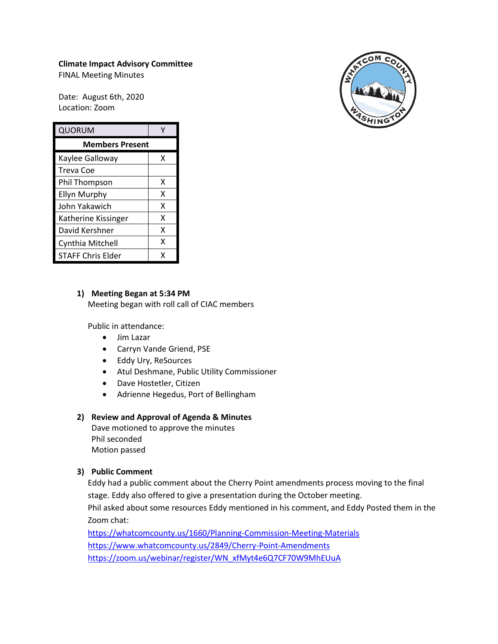# **Climate Impact Advisory Committee**

FINAL Meeting Minutes

Date: August 6th, 2020 Location: Zoom

| QUORUM                   |   |
|--------------------------|---|
| <b>Members Present</b>   |   |
| Kaylee Galloway          | x |
| Treva Coe                |   |
| Phil Thompson            | x |
| <b>Ellyn Murphy</b>      | x |
| John Yakawich            | x |
| Katherine Kissinger      | x |
| David Kershner           | x |
| Cynthia Mitchell         | x |
| <b>STAFF Chris Elder</b> | x |

## **1) Meeting Began at 5:34 PM**

Meeting began with roll call of CIAC members

Public in attendance:

- Jim Lazar
- Carryn Vande Griend, PSE
- Eddy Ury, ReSources
- Atul Deshmane, Public Utility Commissioner
- Dave Hostetler, Citizen
- Adrienne Hegedus, Port of Bellingham

### **2) Review and Approval of Agenda & Minutes**

Dave motioned to approve the minutes Phil seconded Motion passed

## **3) Public Comment**

Eddy had a public comment about the Cherry Point amendments process moving to the final stage. Eddy also offered to give a presentation during the October meeting.

Phil asked about some resources Eddy mentioned in his comment, and Eddy Posted them in the Zoom chat:

<https://whatcomcounty.us/1660/Planning-Commission-Meeting-Materials> <https://www.whatcomcounty.us/2849/Cherry-Point-Amendments> [https://zoom.us/webinar/register/WN\\_xfMyt4e6Q7CF70W9MhEUuA](https://zoom.us/webinar/register/WN_xfMyt4e6Q7CF70W9MhEUuA)

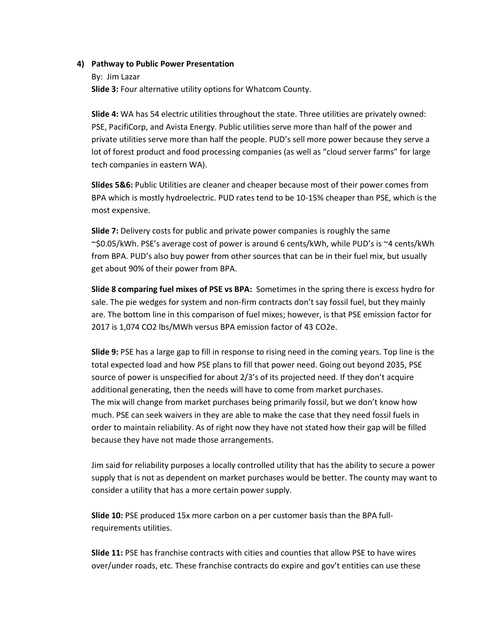#### **4) Pathway to Public Power Presentation**

By: Jim Lazar **Slide 3:** Four alternative utility options for Whatcom County.

**Slide 4:** WA has 54 electric utilities throughout the state. Three utilities are privately owned: PSE, PacifiCorp, and Avista Energy. Public utilities serve more than half of the power and private utilities serve more than half the people. PUD's sell more power because they serve a lot of forest product and food processing companies (as well as "cloud server farms" for large tech companies in eastern WA).

**Slides 5&6:** Public Utilities are cleaner and cheaper because most of their power comes from BPA which is mostly hydroelectric. PUD rates tend to be 10-15% cheaper than PSE, which is the most expensive.

**Slide 7:** Delivery costs for public and private power companies is roughly the same ~\$0.05/kWh. PSE's average cost of power is around 6 cents/kWh, while PUD's is ~4 cents/kWh from BPA. PUD's also buy power from other sources that can be in their fuel mix, but usually get about 90% of their power from BPA.

**Slide 8 comparing fuel mixes of PSE vs BPA:** Sometimes in the spring there is excess hydro for sale. The pie wedges for system and non-firm contracts don't say fossil fuel, but they mainly are. The bottom line in this comparison of fuel mixes; however, is that PSE emission factor for 2017 is 1,074 CO2 lbs/MWh versus BPA emission factor of 43 CO2e.

**Slide 9:** PSE has a large gap to fill in response to rising need in the coming years. Top line is the total expected load and how PSE plans to fill that power need. Going out beyond 2035, PSE source of power is unspecified for about 2/3's of its projected need. If they don't acquire additional generating, then the needs will have to come from market purchases. The mix will change from market purchases being primarily fossil, but we don't know how much. PSE can seek waivers in they are able to make the case that they need fossil fuels in order to maintain reliability. As of right now they have not stated how their gap will be filled because they have not made those arrangements.

Jim said for reliability purposes a locally controlled utility that has the ability to secure a power supply that is not as dependent on market purchases would be better. The county may want to consider a utility that has a more certain power supply.

**Slide 10:** PSE produced 15x more carbon on a per customer basis than the BPA fullrequirements utilities.

**Slide 11:** PSE has franchise contracts with cities and counties that allow PSE to have wires over/under roads, etc. These franchise contracts do expire and gov't entities can use these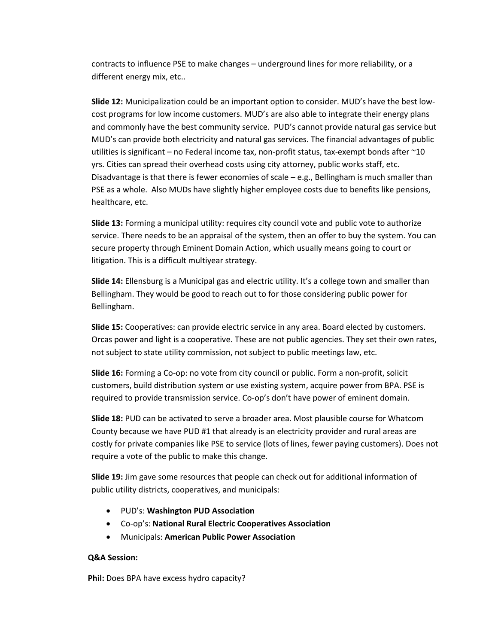contracts to influence PSE to make changes – underground lines for more reliability, or a different energy mix, etc..

**Slide 12:** Municipalization could be an important option to consider. MUD's have the best lowcost programs for low income customers. MUD's are also able to integrate their energy plans and commonly have the best community service. PUD's cannot provide natural gas service but MUD's can provide both electricity and natural gas services. The financial advantages of public utilities is significant – no Federal income tax, non-profit status, tax-exempt bonds after ~10 yrs. Cities can spread their overhead costs using city attorney, public works staff, etc. Disadvantage is that there is fewer economies of scale  $-$  e.g., Bellingham is much smaller than PSE as a whole. Also MUDs have slightly higher employee costs due to benefits like pensions, healthcare, etc.

**Slide 13:** Forming a municipal utility: requires city council vote and public vote to authorize service. There needs to be an appraisal of the system, then an offer to buy the system. You can secure property through Eminent Domain Action, which usually means going to court or litigation. This is a difficult multiyear strategy.

**Slide 14:** Ellensburg is a Municipal gas and electric utility. It's a college town and smaller than Bellingham. They would be good to reach out to for those considering public power for Bellingham.

**Slide 15:** Cooperatives: can provide electric service in any area. Board elected by customers. Orcas power and light is a cooperative. These are not public agencies. They set their own rates, not subject to state utility commission, not subject to public meetings law, etc.

**Slide 16:** Forming a Co-op: no vote from city council or public. Form a non-profit, solicit customers, build distribution system or use existing system, acquire power from BPA. PSE is required to provide transmission service. Co-op's don't have power of eminent domain.

**Slide 18:** PUD can be activated to serve a broader area. Most plausible course for Whatcom County because we have PUD #1 that already is an electricity provider and rural areas are costly for private companies like PSE to service (lots of lines, fewer paying customers). Does not require a vote of the public to make this change.

**Slide 19:** Jim gave some resources that people can check out for additional information of public utility districts, cooperatives, and municipals:

- PUD's: **Washington PUD Association**
- Co-op's: **National Rural Electric Cooperatives Association**
- Municipals: **American Public Power Association**

### **Q&A Session:**

**Phil:** Does BPA have excess hydro capacity?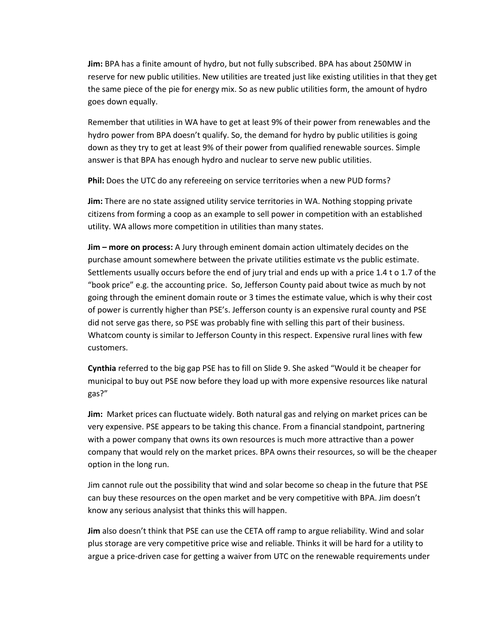**Jim:** BPA has a finite amount of hydro, but not fully subscribed. BPA has about 250MW in reserve for new public utilities. New utilities are treated just like existing utilities in that they get the same piece of the pie for energy mix. So as new public utilities form, the amount of hydro goes down equally.

Remember that utilities in WA have to get at least 9% of their power from renewables and the hydro power from BPA doesn't qualify. So, the demand for hydro by public utilities is going down as they try to get at least 9% of their power from qualified renewable sources. Simple answer is that BPA has enough hydro and nuclear to serve new public utilities.

**Phil:** Does the UTC do any refereeing on service territories when a new PUD forms?

**Jim:** There are no state assigned utility service territories in WA. Nothing stopping private citizens from forming a coop as an example to sell power in competition with an established utility. WA allows more competition in utilities than many states.

**Jim – more on process:** A Jury through eminent domain action ultimately decides on the purchase amount somewhere between the private utilities estimate vs the public estimate. Settlements usually occurs before the end of jury trial and ends up with a price 1.4 t o 1.7 of the "book price" e.g. the accounting price. So, Jefferson County paid about twice as much by not going through the eminent domain route or 3 times the estimate value, which is why their cost of power is currently higher than PSE's. Jefferson county is an expensive rural county and PSE did not serve gas there, so PSE was probably fine with selling this part of their business. Whatcom county is similar to Jefferson County in this respect. Expensive rural lines with few customers.

**Cynthia** referred to the big gap PSE has to fill on Slide 9. She asked "Would it be cheaper for municipal to buy out PSE now before they load up with more expensive resources like natural gas?"

**Jim:** Market prices can fluctuate widely. Both natural gas and relying on market prices can be very expensive. PSE appears to be taking this chance. From a financial standpoint, partnering with a power company that owns its own resources is much more attractive than a power company that would rely on the market prices. BPA owns their resources, so will be the cheaper option in the long run.

Jim cannot rule out the possibility that wind and solar become so cheap in the future that PSE can buy these resources on the open market and be very competitive with BPA. Jim doesn't know any serious analysist that thinks this will happen.

**Jim** also doesn't think that PSE can use the CETA off ramp to argue reliability. Wind and solar plus storage are very competitive price wise and reliable. Thinks it will be hard for a utility to argue a price-driven case for getting a waiver from UTC on the renewable requirements under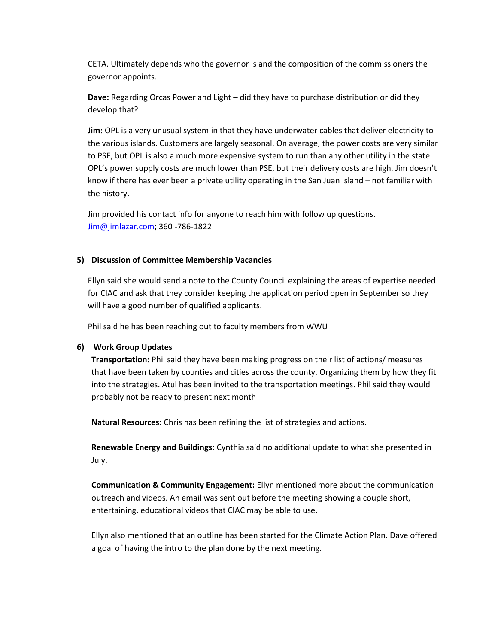CETA. Ultimately depends who the governor is and the composition of the commissioners the governor appoints.

**Dave:** Regarding Orcas Power and Light – did they have to purchase distribution or did they develop that?

**Jim:** OPL is a very unusual system in that they have underwater cables that deliver electricity to the various islands. Customers are largely seasonal. On average, the power costs are very similar to PSE, but OPL is also a much more expensive system to run than any other utility in the state. OPL's power supply costs are much lower than PSE, but their delivery costs are high. Jim doesn't know if there has ever been a private utility operating in the San Juan Island – not familiar with the history.

Jim provided his contact info for anyone to reach him with follow up questions. [Jim@jimlazar.com;](mailto:Jim@jimlazar.com) 360 -786-1822

### **5) Discussion of Committee Membership Vacancies**

Ellyn said she would send a note to the County Council explaining the areas of expertise needed for CIAC and ask that they consider keeping the application period open in September so they will have a good number of qualified applicants.

Phil said he has been reaching out to faculty members from WWU

### **6) Work Group Updates**

**Transportation:** Phil said they have been making progress on their list of actions/ measures that have been taken by counties and cities across the county. Organizing them by how they fit into the strategies. Atul has been invited to the transportation meetings. Phil said they would probably not be ready to present next month

**Natural Resources:** Chris has been refining the list of strategies and actions.

**Renewable Energy and Buildings:** Cynthia said no additional update to what she presented in July.

**Communication & Community Engagement:** Ellyn mentioned more about the communication outreach and videos. An email was sent out before the meeting showing a couple short, entertaining, educational videos that CIAC may be able to use.

Ellyn also mentioned that an outline has been started for the Climate Action Plan. Dave offered a goal of having the intro to the plan done by the next meeting.